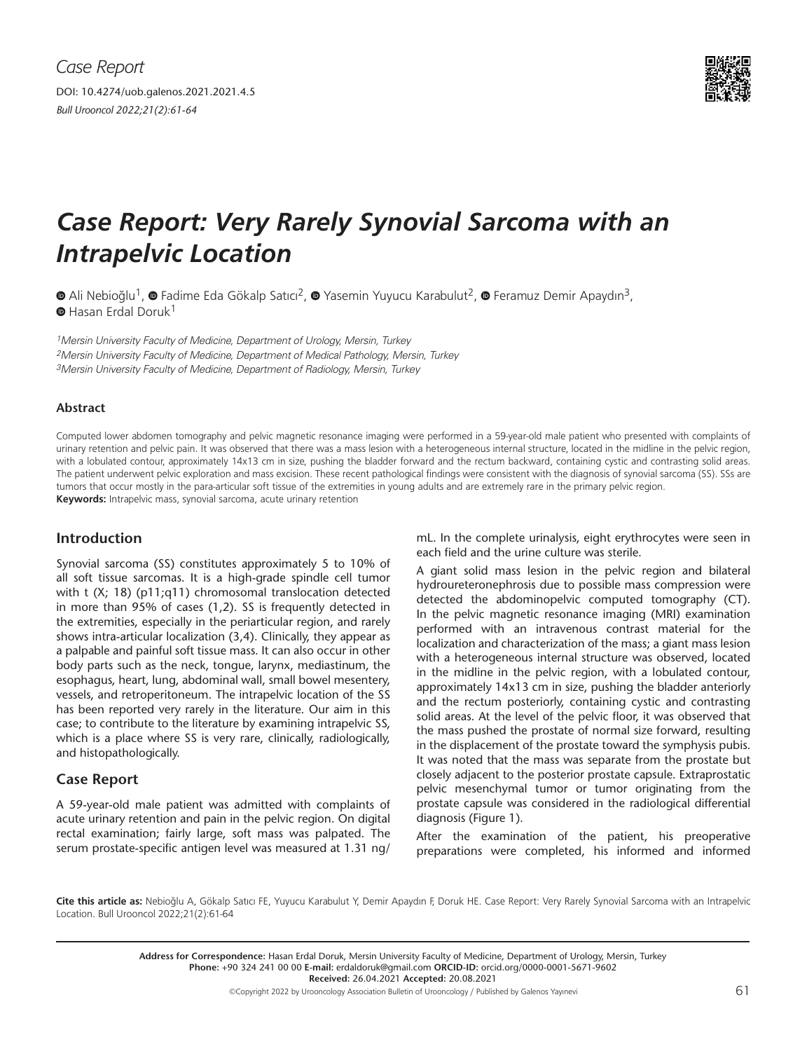

# *Case Report: Very Rarely Synovial Sarcoma with an Intrapelvic Location*

 $\bullet$ Ali Nebioğlu<sup>1</sup>,  $\bullet$  Fadime Eda Gökalp Satıcı<sup>2</sup>,  $\bullet$  Yasemin Yuyucu Karabulut<sup>2</sup>,  $\bullet$  Feramuz Demir Apaydın<sup>3</sup>,  $\bullet$ Hasan Erdal Doruk<sup>1</sup>

<sup>1</sup>Mersin University Faculty of Medicine, Department of Urology, Mersin, Turkey 2Mersin University Faculty of Medicine, Department of Medical Pathology, Mersin, Turkey 3Mersin University Faculty of Medicine, Department of Radiology, Mersin, Turkey

#### **Abstract**

Computed lower abdomen tomography and pelvic magnetic resonance imaging were performed in a 59-year-old male patient who presented with complaints of urinary retention and pelvic pain. It was observed that there was a mass lesion with a heterogeneous internal structure, located in the midline in the pelvic region, with a lobulated contour, approximately 14x13 cm in size, pushing the bladder forward and the rectum backward, containing cystic and contrasting solid areas. The patient underwent pelvic exploration and mass excision. These recent pathological findings were consistent with the diagnosis of synovial sarcoma (SS). SSs are tumors that occur mostly in the para-articular soft tissue of the extremities in young adults and are extremely rare in the primary pelvic region. **Keywords:** Intrapelvic mass, synovial sarcoma, acute urinary retention

# **Introduction**

Synovial sarcoma (SS) constitutes approximately 5 to 10% of all soft tissue sarcomas. It is a high-grade spindle cell tumor with t (X; 18) (p11;q11) chromosomal translocation detected in more than 95% of cases (1,2). SS is frequently detected in the extremities, especially in the periarticular region, and rarely shows intra-articular localization (3,4). Clinically, they appear as a palpable and painful soft tissue mass. It can also occur in other body parts such as the neck, tongue, larynx, mediastinum, the esophagus, heart, lung, abdominal wall, small bowel mesentery, vessels, and retroperitoneum. The intrapelvic location of the SS has been reported very rarely in the literature. Our aim in this case; to contribute to the literature by examining intrapelvic SS, which is a place where SS is very rare, clinically, radiologically, and histopathologically.

# **Case Report**

A 59-year-old male patient was admitted with complaints of acute urinary retention and pain in the pelvic region. On digital rectal examination; fairly large, soft mass was palpated. The serum prostate-specific antigen level was measured at 1.31 ng/ mL. In the complete urinalysis, eight erythrocytes were seen in each field and the urine culture was sterile.

A giant solid mass lesion in the pelvic region and bilateral hydroureteronephrosis due to possible mass compression were detected the abdominopelvic computed tomography (CT). In the pelvic magnetic resonance imaging (MRI) examination performed with an intravenous contrast material for the localization and characterization of the mass; a giant mass lesion with a heterogeneous internal structure was observed, located in the midline in the pelvic region, with a lobulated contour, approximately 14x13 cm in size, pushing the bladder anteriorly and the rectum posteriorly, containing cystic and contrasting solid areas. At the level of the pelvic floor, it was observed that the mass pushed the prostate of normal size forward, resulting in the displacement of the prostate toward the symphysis pubis. It was noted that the mass was separate from the prostate but closely adjacent to the posterior prostate capsule. Extraprostatic pelvic mesenchymal tumor or tumor originating from the prostate capsule was considered in the radiological differential diagnosis (Figure 1).

After the examination of the patient, his preoperative preparations were completed, his informed and informed

**Cite this article as:** Nebioğlu A, Gökalp Satıcı FE, Yuyucu Karabulut Y, Demir Apaydın F, Doruk HE. Case Report: Very Rarely Synovial Sarcoma with an Intrapelvic Location. Bull Urooncol 2022;21(2):61-64

> **Address for Correspondence:** Hasan Erdal Doruk, Mersin University Faculty of Medicine, Department of Urology, Mersin, Turkey **Phone:** +90 324 241 00 00 **E-mail:** erdaldoruk@gmail.com **ORCID-ID:** orcid.org/0000-0001-5671-9602 **Received:** 26.04.2021 **Accepted:** 20.08.2021

©Copyright 2022 by Urooncology Association Bulletin of Urooncology / Published by Galenos Yayınevi  $61$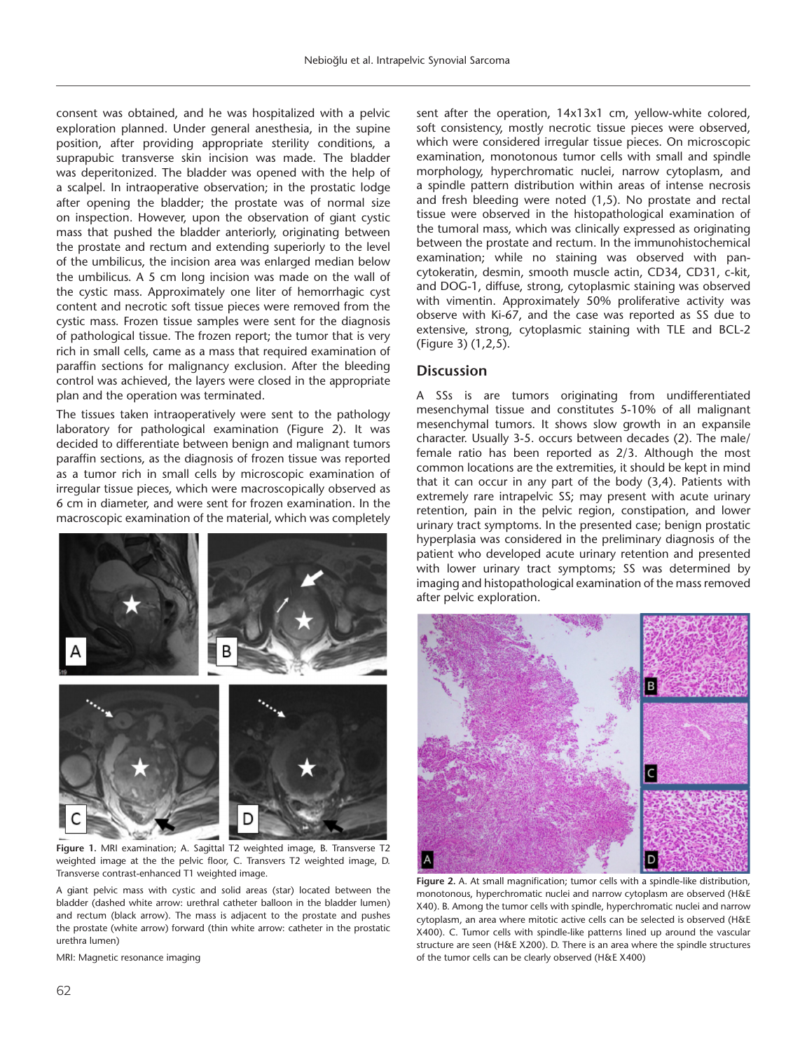consent was obtained, and he was hospitalized with a pelvic exploration planned. Under general anesthesia, in the supine position, after providing appropriate sterility conditions, a suprapubic transverse skin incision was made. The bladder was deperitonized. The bladder was opened with the help of a scalpel. In intraoperative observation; in the prostatic lodge after opening the bladder; the prostate was of normal size on inspection. However, upon the observation of giant cystic mass that pushed the bladder anteriorly, originating between the prostate and rectum and extending superiorly to the level of the umbilicus, the incision area was enlarged median below the umbilicus. A 5 cm long incision was made on the wall of the cystic mass. Approximately one liter of hemorrhagic cyst content and necrotic soft tissue pieces were removed from the cystic mass. Frozen tissue samples were sent for the diagnosis of pathological tissue. The frozen report; the tumor that is very rich in small cells, came as a mass that required examination of paraffin sections for malignancy exclusion. After the bleeding control was achieved, the layers were closed in the appropriate plan and the operation was terminated.

The tissues taken intraoperatively were sent to the pathology laboratory for pathological examination (Figure 2). It was decided to differentiate between benign and malignant tumors paraffin sections, as the diagnosis of frozen tissue was reported as a tumor rich in small cells by microscopic examination of irregular tissue pieces, which were macroscopically observed as 6 cm in diameter, and were sent for frozen examination. In the macroscopic examination of the material, which was completely



**Figure 1.** MRI examination; A. Sagittal T2 weighted image, B. Transverse T2 weighted image at the the pelvic floor, C. Transvers T2 weighted image, D. Transverse contrast-enhanced T1 weighted image.

A giant pelvic mass with cystic and solid areas (star) located between the bladder (dashed white arrow: urethral catheter balloon in the bladder lumen) and rectum (black arrow). The mass is adjacent to the prostate and pushes the prostate (white arrow) forward (thin white arrow: catheter in the prostatic urethra lumen)

MRI: Magnetic resonance imaging

sent after the operation, 14x13x1 cm, yellow-white colored, soft consistency, mostly necrotic tissue pieces were observed, which were considered irregular tissue pieces. On microscopic examination, monotonous tumor cells with small and spindle morphology, hyperchromatic nuclei, narrow cytoplasm, and a spindle pattern distribution within areas of intense necrosis and fresh bleeding were noted (1,5). No prostate and rectal tissue were observed in the histopathological examination of the tumoral mass, which was clinically expressed as originating between the prostate and rectum. In the immunohistochemical examination; while no staining was observed with pancytokeratin, desmin, smooth muscle actin, CD34, CD31, c-kit, and DOG-1, diffuse, strong, cytoplasmic staining was observed with vimentin. Approximately 50% proliferative activity was observe with Ki-67, and the case was reported as SS due to extensive, strong, cytoplasmic staining with TLE and BCL-2 (Figure 3) (1,2,5).

#### **Discussion**

A SSs is are tumors originating from undifferentiated mesenchymal tissue and constitutes 5-10% of all malignant mesenchymal tumors. It shows slow growth in an expansile character. Usually 3-5. occurs between decades (2). The male/ female ratio has been reported as 2/3. Although the most common locations are the extremities, it should be kept in mind that it can occur in any part of the body (3,4). Patients with extremely rare intrapelvic SS; may present with acute urinary retention, pain in the pelvic region, constipation, and lower urinary tract symptoms. In the presented case; benign prostatic hyperplasia was considered in the preliminary diagnosis of the patient who developed acute urinary retention and presented with lower urinary tract symptoms; SS was determined by imaging and histopathological examination of the mass removed after pelvic exploration.



**Figure 2.** A. At small magnification; tumor cells with a spindle-like distribution, monotonous, hyperchromatic nuclei and narrow cytoplasm are observed (H&E X40). B. Among the tumor cells with spindle, hyperchromatic nuclei and narrow cytoplasm, an area where mitotic active cells can be selected is observed (H&E X400). C. Tumor cells with spindle-like patterns lined up around the vascular structure are seen (H&E X200). D. There is an area where the spindle structures of the tumor cells can be clearly observed (H&E X400)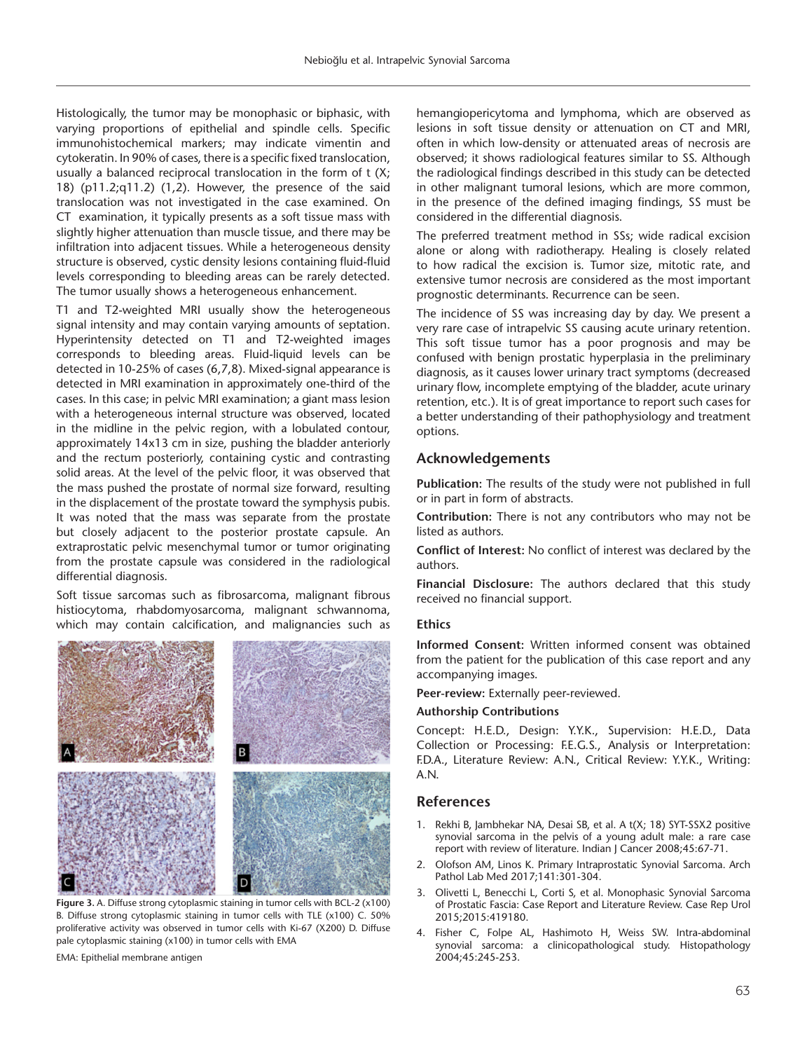Histologically, the tumor may be monophasic or biphasic, with varying proportions of epithelial and spindle cells. Specific immunohistochemical markers; may indicate vimentin and cytokeratin. In 90% of cases, there is a specific fixed translocation, usually a balanced reciprocal translocation in the form of t (X; 18) (p11.2;q11.2) (1,2). However, the presence of the said translocation was not investigated in the case examined. On CT examination, it typically presents as a soft tissue mass with slightly higher attenuation than muscle tissue, and there may be infiltration into adjacent tissues. While a heterogeneous density structure is observed, cystic density lesions containing fluid-fluid levels corresponding to bleeding areas can be rarely detected. The tumor usually shows a heterogeneous enhancement.

T1 and T2-weighted MRI usually show the heterogeneous signal intensity and may contain varying amounts of septation. Hyperintensity detected on T1 and T2-weighted images corresponds to bleeding areas. Fluid-liquid levels can be detected in 10-25% of cases (6,7,8). Mixed-signal appearance is detected in MRI examination in approximately one-third of the cases. In this case; in pelvic MRI examination; a giant mass lesion with a heterogeneous internal structure was observed, located in the midline in the pelvic region, with a lobulated contour, approximately 14x13 cm in size, pushing the bladder anteriorly and the rectum posteriorly, containing cystic and contrasting solid areas. At the level of the pelvic floor, it was observed that the mass pushed the prostate of normal size forward, resulting in the displacement of the prostate toward the symphysis pubis. It was noted that the mass was separate from the prostate but closely adjacent to the posterior prostate capsule. An extraprostatic pelvic mesenchymal tumor or tumor originating from the prostate capsule was considered in the radiological differential diagnosis.

Soft tissue sarcomas such as fibrosarcoma, malignant fibrous histiocytoma, rhabdomyosarcoma, malignant schwannoma, which may contain calcification, and malignancies such as



**Figure 3.** A. Diffuse strong cytoplasmic staining in tumor cells with BCL-2 (x100) B. Diffuse strong cytoplasmic staining in tumor cells with TLE (x100) C. 50% proliferative activity was observed in tumor cells with Ki-67 (X200) D. Diffuse pale cytoplasmic staining (x100) in tumor cells with EMA EMA: Epithelial membrane antigen

hemangiopericytoma and lymphoma, which are observed as lesions in soft tissue density or attenuation on CT and MRI, often in which low-density or attenuated areas of necrosis are observed; it shows radiological features similar to SS. Although the radiological findings described in this study can be detected in other malignant tumoral lesions, which are more common, in the presence of the defined imaging findings, SS must be considered in the differential diagnosis.

The preferred treatment method in SSs; wide radical excision alone or along with radiotherapy. Healing is closely related to how radical the excision is. Tumor size, mitotic rate, and extensive tumor necrosis are considered as the most important prognostic determinants. Recurrence can be seen.

The incidence of SS was increasing day by day. We present a very rare case of intrapelvic SS causing acute urinary retention. This soft tissue tumor has a poor prognosis and may be confused with benign prostatic hyperplasia in the preliminary diagnosis, as it causes lower urinary tract symptoms (decreased urinary flow, incomplete emptying of the bladder, acute urinary retention, etc.). It is of great importance to report such cases for a better understanding of their pathophysiology and treatment options.

## **Acknowledgements**

**Publication:** The results of the study were not published in full or in part in form of abstracts.

**Contribution:** There is not any contributors who may not be listed as authors.

**Conflict of Interest:** No conflict of interest was declared by the authors.

**Financial Disclosure:** The authors declared that this study received no financial support.

## **Ethics**

**Informed Consent:** Written informed consent was obtained from the patient for the publication of this case report and any accompanying images.

**Peer-review:** Externally peer-reviewed.

#### **Authorship Contributions**

Concept: H.E.D., Design: Y.Y.K., Supervision: H.E.D., Data Collection or Processing: F.E.G.S., Analysis or Interpretation: F.D.A., Literature Review: A.N., Critical Review: Y.Y.K., Writing: A.N.

#### **References**

- 1. Rekhi B, Jambhekar NA, Desai SB, et al. A t(X; 18) SYT-SSX2 positive synovial sarcoma in the pelvis of a young adult male: a rare case report with review of literature. Indian J Cancer 2008;45:67-71.
- 2. Olofson AM, Linos K. Primary Intraprostatic Synovial Sarcoma. Arch Pathol Lab Med 2017;141:301-304.
- 3. Olivetti L, Benecchi L, Corti S, et al. Monophasic Synovial Sarcoma of Prostatic Fascia: Case Report and Literature Review. Case Rep Urol 2015;2015:419180.
- 4. Fisher C, Folpe AL, Hashimoto H, Weiss SW. Intra-abdominal synovial sarcoma: a clinicopathological study. Histopathology 2004;45:245-253.